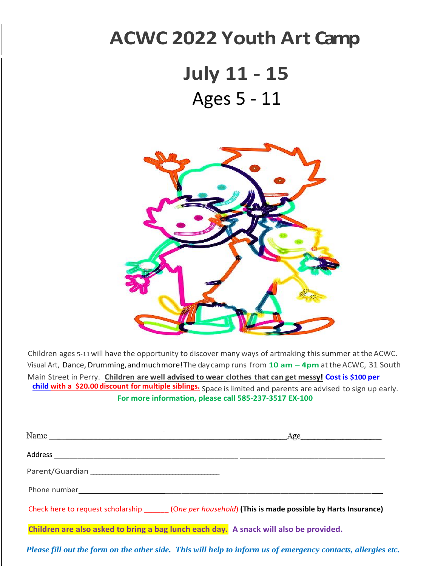## **ACWC 2022 Youth Art Camp**

## **July 11 - 15** Ages 5 - 11



Children ages 5-11will have the opportunity to discover many ways of artmaking this summer atthe ACWC. Visual Art, Dance, Drumming, and much more! The day camp runs from **10 am – 4pm** at the ACWC, 31 South Main Street in Perry. **Children are well advised to wear clothes that can get messy! Cost is \$100 per child with a \$20.00 discount for multiple siblings.** Space islimited and parents are advised to sign up early. **For more information, please call 585-237-3517 EX-100**

| Name<br>Age                                                                                      |
|--------------------------------------------------------------------------------------------------|
|                                                                                                  |
|                                                                                                  |
|                                                                                                  |
| Check here to request scholarship (One per household) (This is made possible by Harts Insurance) |
| Children are also asked to bring a bag lunch each day. A snack will also be provided.            |